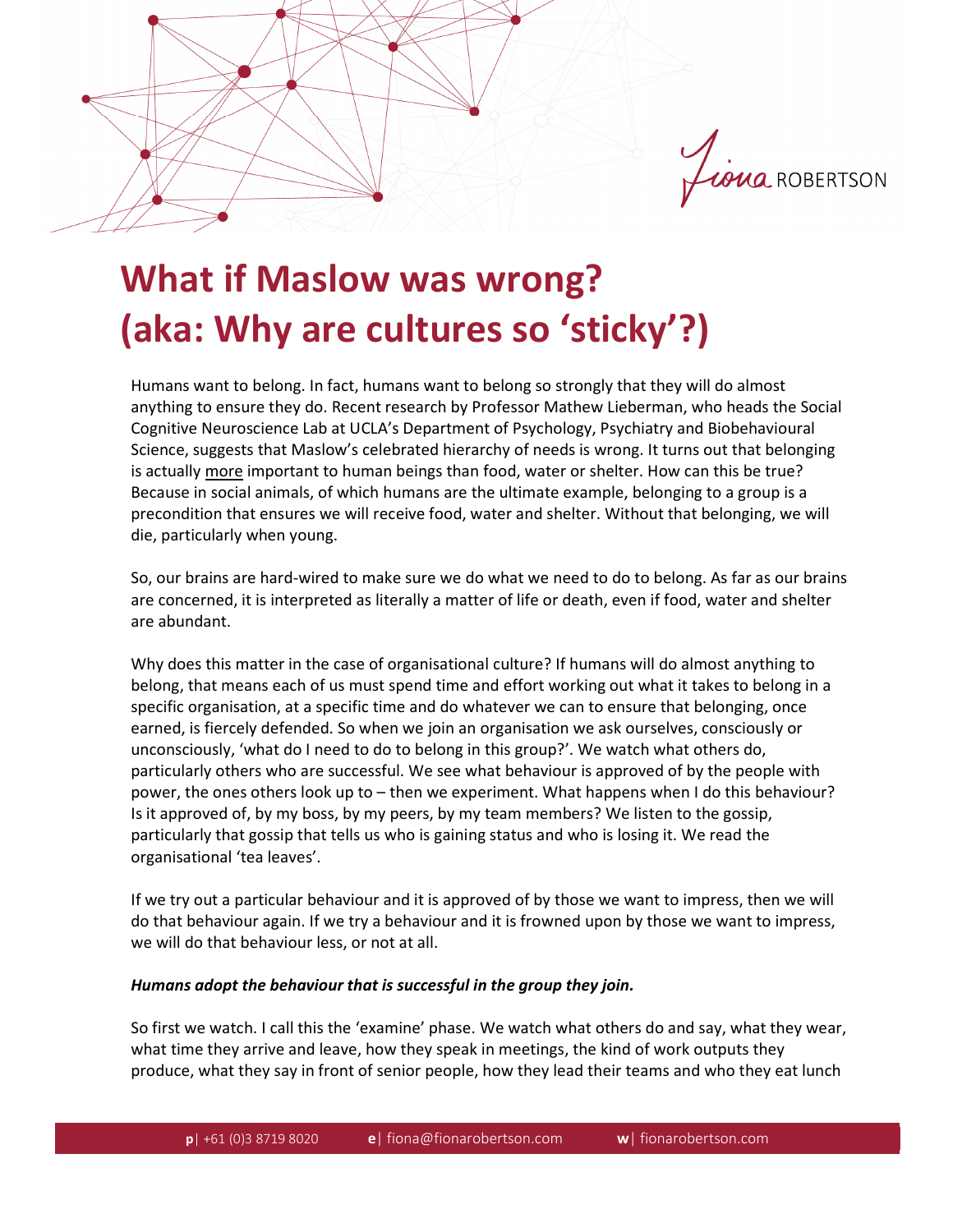

## **What if Maslow was wrong? (aka: Why are cultures so 'sticky'?)**

Humans want to belong. In fact, humans want to belong so strongly that they will do almost anything to ensure they do. Recent research by Professor Mathew Lieberman, who heads the Social Cognitive Neuroscience Lab at UCLA's Department of Psychology, Psychiatry and Biobehavioural Science, suggests that Maslow's celebrated hierarchy of needs is wrong. It turns out that belonging is actually more important to human beings than food, water or shelter. How can this be true? Because in social animals, of which humans are the ultimate example, belonging to a group is a precondition that ensures we will receive food, water and shelter. Without that belonging, we will die, particularly when young.

So, our brains are hard-wired to make sure we do what we need to do to belong. As far as our brains are concerned, it is interpreted as literally a matter of life or death, even if food, water and shelter are abundant.

Why does this matter in the case of organisational culture? If humans will do almost anything to belong, that means each of us must spend time and effort working out what it takes to belong in a specific organisation, at a specific time and do whatever we can to ensure that belonging, once earned, is fiercely defended. So when we join an organisation we ask ourselves, consciously or unconsciously, 'what do I need to do to belong in this group?'. We watch what others do, particularly others who are successful. We see what behaviour is approved of by the people with power, the ones others look up to – then we experiment. What happens when I do this behaviour? Is it approved of, by my boss, by my peers, by my team members? We listen to the gossip, particularly that gossip that tells us who is gaining status and who is losing it. We read the organisational 'tea leaves'.

If we try out a particular behaviour and it is approved of by those we want to impress, then we will do that behaviour again. If we try a behaviour and it is frowned upon by those we want to impress, we will do that behaviour less, or not at all.

## *Humans adopt the behaviour that is successful in the group they join.*

So first we watch. I call this the 'examine' phase. We watch what others do and say, what they wear, what time they arrive and leave, how they speak in meetings, the kind of work outputs they produce, what they say in front of senior people, how they lead their teams and who they eat lunch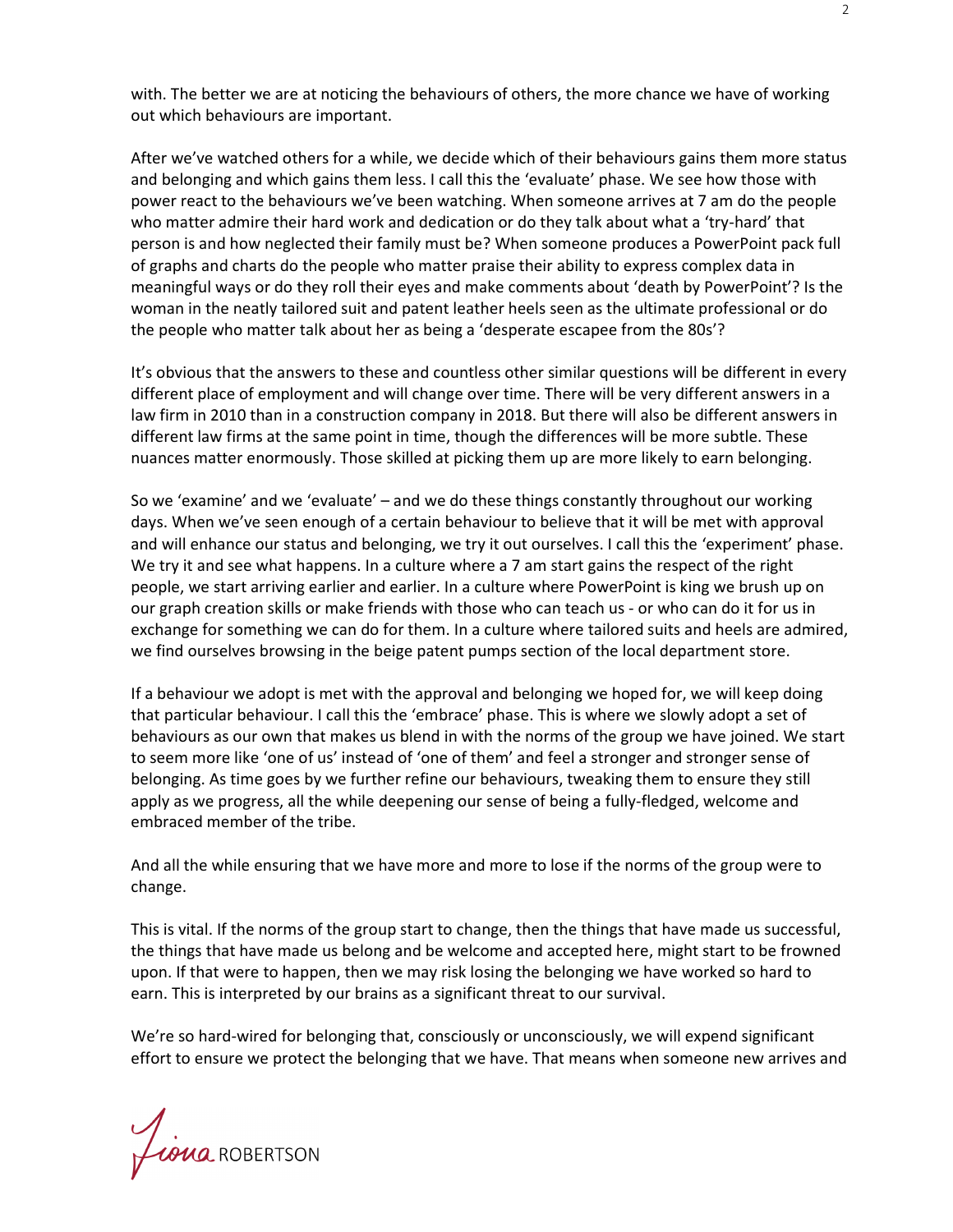with. The better we are at noticing the behaviours of others, the more chance we have of working out which behaviours are important.

After we've watched others for a while, we decide which of their behaviours gains them more status and belonging and which gains them less. I call this the 'evaluate' phase. We see how those with power react to the behaviours we've been watching. When someone arrives at 7 am do the people who matter admire their hard work and dedication or do they talk about what a 'try-hard' that person is and how neglected their family must be? When someone produces a PowerPoint pack full of graphs and charts do the people who matter praise their ability to express complex data in meaningful ways or do they roll their eyes and make comments about 'death by PowerPoint'? Is the woman in the neatly tailored suit and patent leather heels seen as the ultimate professional or do the people who matter talk about her as being a 'desperate escapee from the 80s'?

It's obvious that the answers to these and countless other similar questions will be different in every different place of employment and will change over time. There will be very different answers in a law firm in 2010 than in a construction company in 2018. But there will also be different answers in different law firms at the same point in time, though the differences will be more subtle. These nuances matter enormously. Those skilled at picking them up are more likely to earn belonging.

So we 'examine' and we 'evaluate' – and we do these things constantly throughout our working days. When we've seen enough of a certain behaviour to believe that it will be met with approval and will enhance our status and belonging, we try it out ourselves. I call this the 'experiment' phase. We try it and see what happens. In a culture where a 7 am start gains the respect of the right people, we start arriving earlier and earlier. In a culture where PowerPoint is king we brush up on our graph creation skills or make friends with those who can teach us - or who can do it for us in exchange for something we can do for them. In a culture where tailored suits and heels are admired, we find ourselves browsing in the beige patent pumps section of the local department store.

If a behaviour we adopt is met with the approval and belonging we hoped for, we will keep doing that particular behaviour. I call this the 'embrace' phase. This is where we slowly adopt a set of behaviours as our own that makes us blend in with the norms of the group we have joined. We start to seem more like 'one of us' instead of 'one of them' and feel a stronger and stronger sense of belonging. As time goes by we further refine our behaviours, tweaking them to ensure they still apply as we progress, all the while deepening our sense of being a fully-fledged, welcome and embraced member of the tribe.

And all the while ensuring that we have more and more to lose if the norms of the group were to change.

This is vital. If the norms of the group start to change, then the things that have made us successful, the things that have made us belong and be welcome and accepted here, might start to be frowned upon. If that were to happen, then we may risk losing the belonging we have worked so hard to earn. This is interpreted by our brains as a significant threat to our survival.

We're so hard-wired for belonging that, consciously or unconsciously, we will expend significant effort to ensure we protect the belonging that we have. That means when someone new arrives and

*Liona* ROBERTSON